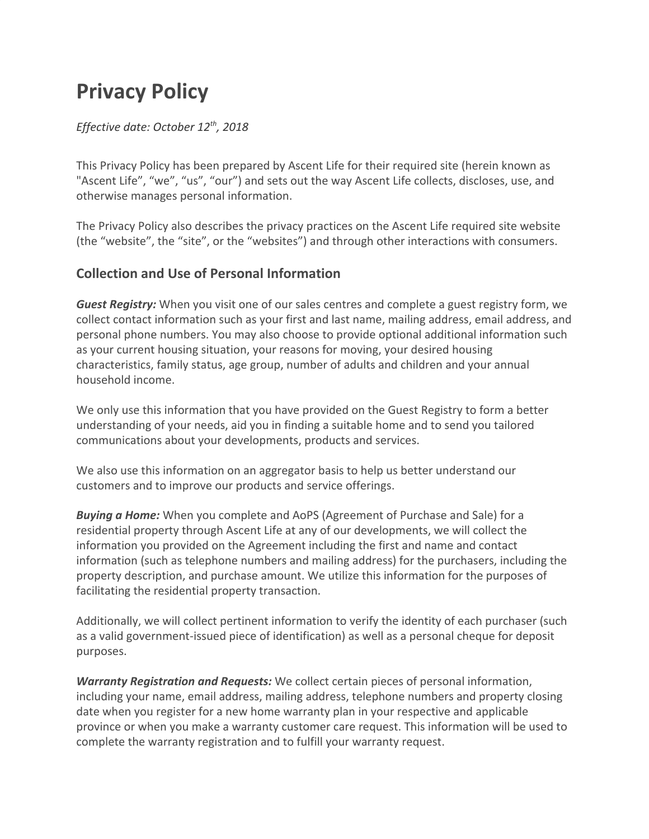# **Privacy Policy**

## *Effective date: October 12th , 2018*

This Privacy Policy has been prepared by Ascent Life for their required site (herein known as "Ascent Life", "we", "us", "our") and sets out the way Ascent Life collects, discloses, use, and otherwise manages personal information.

The Privacy Policy also describes the privacy practices on the Ascent Life required site website (the "website", the "site", or the "websites") and through other interactions with consumers.

# **Collection and Use of Personal Information**

*Guest Registry:* When you visit one of our sales centres and complete a guest registry form, we collect contact information such as your first and last name, mailing address, email address, and personal phone numbers. You may also choose to provide optional additional information such as your current housing situation, your reasons for moving, your desired housing characteristics, family status, age group, number of adults and children and your annual household income.

We only use this information that you have provided on the Guest Registry to form a better understanding of your needs, aid you in finding a suitable home and to send you tailored communications about your developments, products and services.

We also use this information on an aggregator basis to help us better understand our customers and to improve our products and service offerings.

*Buying a Home:* When you complete and AoPS (Agreement of Purchase and Sale) for a residential property through Ascent Life at any of our developments, we will collect the information you provided on the Agreement including the first and name and contact information (such as telephone numbers and mailing address) for the purchasers, including the property description, and purchase amount. We utilize this information for the purposes of facilitating the residential property transaction.

Additionally, we will collect pertinent information to verify the identity of each purchaser (such as a valid government-issued piece of identification) as well as a personal cheque for deposit purposes.

*Warranty Registration and Requests:* We collect certain pieces of personal information, including your name, email address, mailing address, telephone numbers and property closing date when you register for a new home warranty plan in your respective and applicable province or when you make a warranty customer care request. This information will be used to complete the warranty registration and to fulfill your warranty request.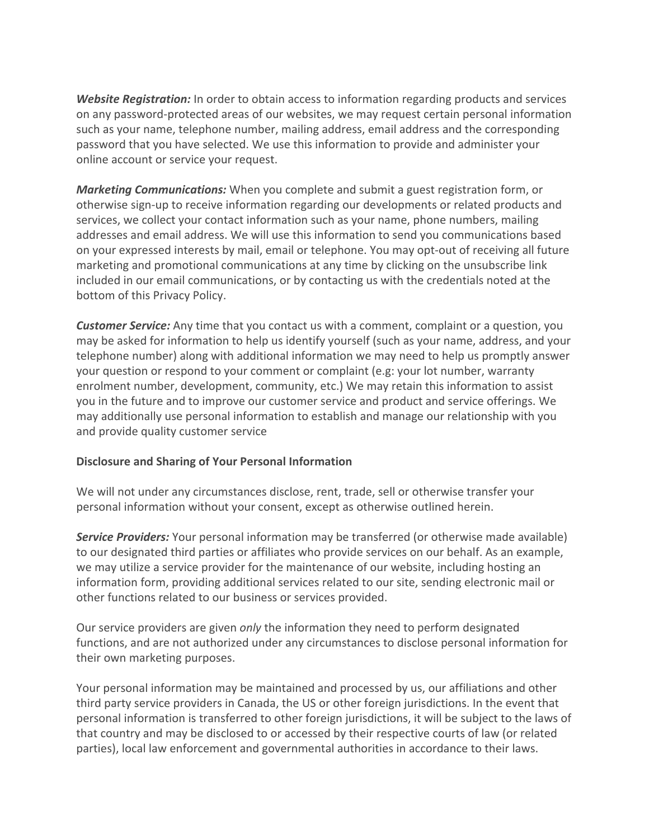*Website Registration:* In order to obtain access to information regarding products and services on any password-protected areas of our websites, we may request certain personal information such as your name, telephone number, mailing address, email address and the corresponding password that you have selected. We use this information to provide and administer your online account or service your request.

*Marketing Communications:* When you complete and submit a guest registration form, or otherwise sign-up to receive information regarding our developments or related products and services, we collect your contact information such as your name, phone numbers, mailing addresses and email address. We will use this information to send you communications based on your expressed interests by mail, email or telephone. You may opt-out of receiving all future marketing and promotional communications at any time by clicking on the unsubscribe link included in our email communications, or by contacting us with the credentials noted at the bottom of this Privacy Policy.

*Customer Service:* Any time that you contact us with a comment, complaint or a question, you may be asked for information to help us identify yourself (such as your name, address, and your telephone number) along with additional information we may need to help us promptly answer your question or respond to your comment or complaint (e.g: your lot number, warranty enrolment number, development, community, etc.) We may retain this information to assist you in the future and to improve our customer service and product and service offerings. We may additionally use personal information to establish and manage our relationship with you and provide quality customer service

#### **Disclosure and Sharing of Your Personal Information**

We will not under any circumstances disclose, rent, trade, sell or otherwise transfer your personal information without your consent, except as otherwise outlined herein.

*Service Providers:* Your personal information may be transferred (or otherwise made available) to our designated third parties or affiliates who provide services on our behalf. As an example, we may utilize a service provider for the maintenance of our website, including hosting an information form, providing additional services related to our site, sending electronic mail or other functions related to our business or services provided.

Our service providers are given *only* the information they need to perform designated functions, and are not authorized under any circumstances to disclose personal information for their own marketing purposes.

Your personal information may be maintained and processed by us, our affiliations and other third party service providers in Canada, the US or other foreign jurisdictions. In the event that personal information is transferred to other foreign jurisdictions, it will be subject to the laws of that country and may be disclosed to or accessed by their respective courts of law (or related parties), local law enforcement and governmental authorities in accordance to their laws.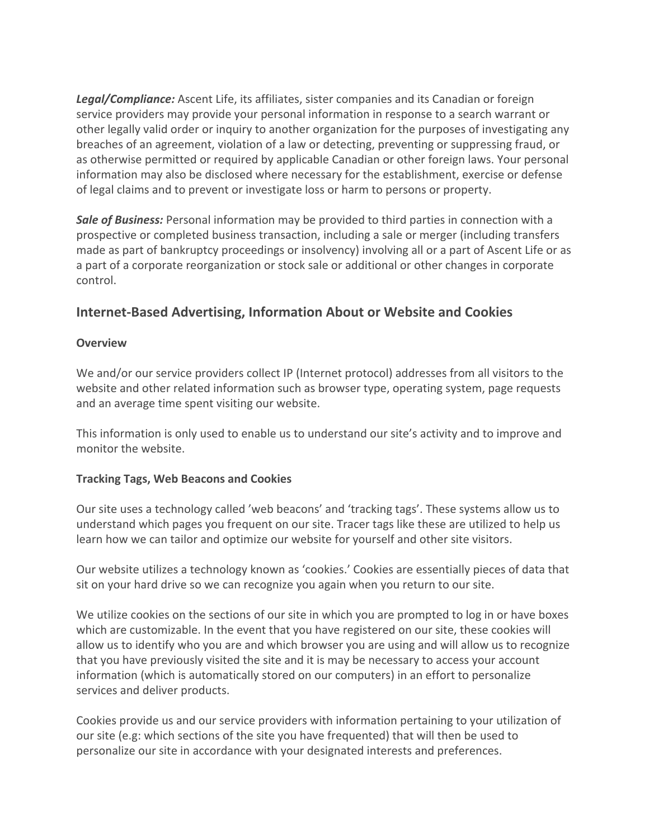*Legal/Compliance:* Ascent Life, its affiliates, sister companies and its Canadian or foreign service providers may provide your personal information in response to a search warrant or other legally valid order or inquiry to another organization for the purposes of investigating any breaches of an agreement, violation of a law or detecting, preventing or suppressing fraud, or as otherwise permitted or required by applicable Canadian or other foreign laws. Your personal information may also be disclosed where necessary for the establishment, exercise or defense of legal claims and to prevent or investigate loss or harm to persons or property.

*Sale of Business:* Personal information may be provided to third parties in connection with a prospective or completed business transaction, including a sale or merger (including transfers made as part of bankruptcy proceedings or insolvency) involving all or a part of Ascent Life or as a part of a corporate reorganization or stock sale or additional or other changes in corporate control.

# **Internet-Based Advertising, Information About or Website and Cookies**

### **Overview**

We and/or our service providers collect IP (Internet protocol) addresses from all visitors to the website and other related information such as browser type, operating system, page requests and an average time spent visiting our website.

This information is only used to enable us to understand our site's activity and to improve and monitor the website.

### **Tracking Tags, Web Beacons and Cookies**

Our site uses a technology called 'web beacons' and 'tracking tags'. These systems allow us to understand which pages you frequent on our site. Tracer tags like these are utilized to help us learn how we can tailor and optimize our website for yourself and other site visitors.

Our website utilizes a technology known as 'cookies.' Cookies are essentially pieces of data that sit on your hard drive so we can recognize you again when you return to our site.

We utilize cookies on the sections of our site in which you are prompted to log in or have boxes which are customizable. In the event that you have registered on our site, these cookies will allow us to identify who you are and which browser you are using and will allow us to recognize that you have previously visited the site and it is may be necessary to access your account information (which is automatically stored on our computers) in an effort to personalize services and deliver products.

Cookies provide us and our service providers with information pertaining to your utilization of our site (e.g: which sections of the site you have frequented) that will then be used to personalize our site in accordance with your designated interests and preferences.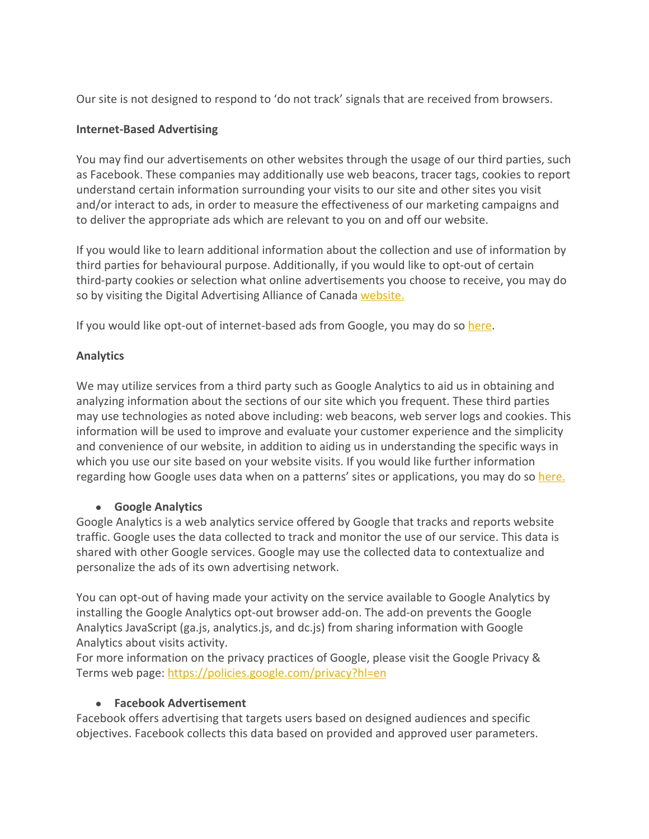Our site is not designed to respond to 'do not track' signals that are received from browsers.

### **Internet-Based Advertising**

You may find our advertisements on other websites through the usage of our third parties, such as Facebook. These companies may additionally use web beacons, tracer tags, cookies to report understand certain information surrounding your visits to our site and other sites you visit and/or interact to ads, in order to measure the effectiveness of our marketing campaigns and to deliver the appropriate ads which are relevant to you on and off our website.

If you would like to learn additional information about the collection and use of information by third parties for behavioural purpose. Additionally, if you would like to opt-out of certain third-party cookies or selection what online advertisements you choose to receive, you may do so by visiting the Digital Advertising Alliance of Canada [website.](http://youradchoices.ca/choices/)

If you would like opt-out of internet-based ads from Google, you may do so [here](https://adssettings.google.com/authenticated).

### **Analytics**

We may utilize services from a third party such as Google Analytics to aid us in obtaining and analyzing information about the sections of our site which you frequent. These third parties may use technologies as noted above including: web beacons, web server logs and cookies. This information will be used to improve and evaluate your customer experience and the simplicity and convenience of our website, in addition to aiding us in understanding the specific ways in which you use our site based on your website visits. If you would like further information regarding how Google uses data when on a patterns' sites or applications, you may do so [here.](https://policies.google.com/technologies/partner-sites)

### ● **Google Analytics**

Google Analytics is a web analytics service offered by Google that tracks and reports website traffic. Google uses the data collected to track and monitor the use of our service. This data is shared with other Google services. Google may use the collected data to contextualize and personalize the ads of its own advertising network.

You can opt-out of having made your activity on the service available to Google Analytics by installing the Google Analytics opt-out browser add-on. The add-on prevents the Google Analytics JavaScript (ga.js, analytics.js, and dc.js) from sharing information with Google Analytics about visits activity.

For more information on the privacy practices of Google, please visit the Google Privacy & Terms web page:<https://policies.google.com/privacy?hl=en>

#### ● **Facebook Advertisement**

Facebook offers advertising that targets users based on designed audiences and specific objectives. Facebook collects this data based on provided and approved user parameters.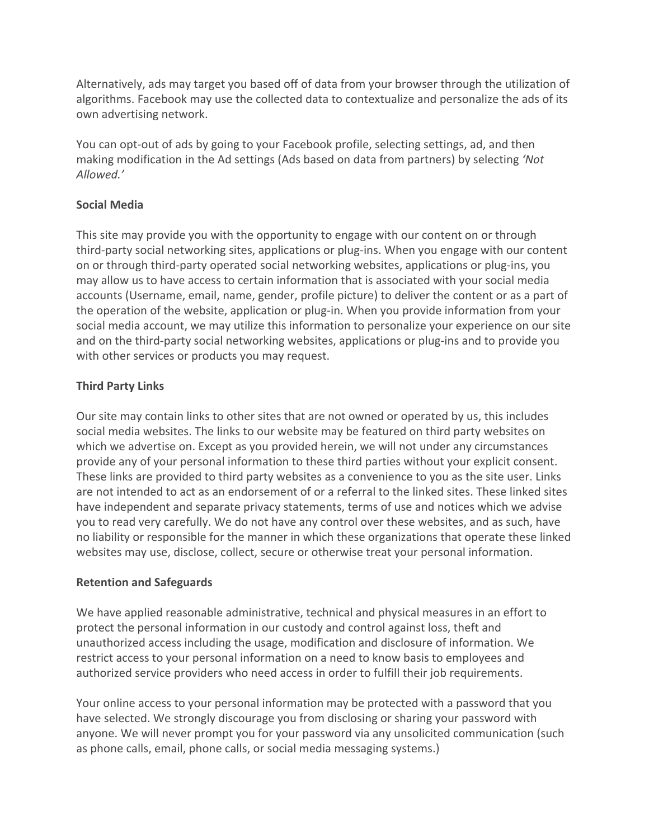Alternatively, ads may target you based off of data from your browser through the utilization of algorithms. Facebook may use the collected data to contextualize and personalize the ads of its own advertising network.

You can opt-out of ads by going to your Facebook profile, selecting settings, ad, and then making modification in the Ad settings (Ads based on data from partners) by selecting *'Not Allowed.'* 

### **Social Media**

This site may provide you with the opportunity to engage with our content on or through third-party social networking sites, applications or plug-ins. When you engage with our content on or through third-party operated social networking websites, applications or plug-ins, you may allow us to have access to certain information that is associated with your social media accounts (Username, email, name, gender, profile picture) to deliver the content or as a part of the operation of the website, application or plug-in. When you provide information from your social media account, we may utilize this information to personalize your experience on our site and on the third-party social networking websites, applications or plug-ins and to provide you with other services or products you may request.

## **Third Party Links**

Our site may contain links to other sites that are not owned or operated by us, this includes social media websites. The links to our website may be featured on third party websites on which we advertise on. Except as you provided herein, we will not under any circumstances provide any of your personal information to these third parties without your explicit consent. These links are provided to third party websites as a convenience to you as the site user. Links are not intended to act as an endorsement of or a referral to the linked sites. These linked sites have independent and separate privacy statements, terms of use and notices which we advise you to read very carefully. We do not have any control over these websites, and as such, have no liability or responsible for the manner in which these organizations that operate these linked websites may use, disclose, collect, secure or otherwise treat your personal information.

### **Retention and Safeguards**

We have applied reasonable administrative, technical and physical measures in an effort to protect the personal information in our custody and control against loss, theft and unauthorized access including the usage, modification and disclosure of information. We restrict access to your personal information on a need to know basis to employees and authorized service providers who need access in order to fulfill their job requirements.

Your online access to your personal information may be protected with a password that you have selected. We strongly discourage you from disclosing or sharing your password with anyone. We will never prompt you for your password via any unsolicited communication (such as phone calls, email, phone calls, or social media messaging systems.)